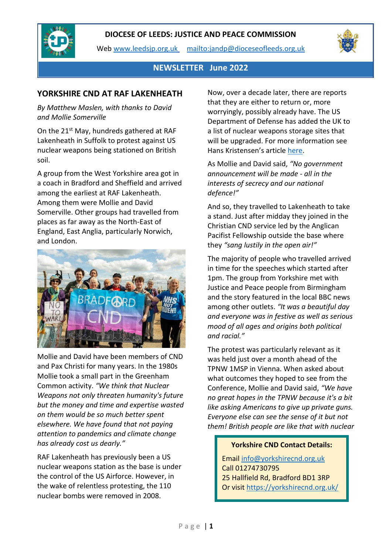

Web [www.leedsjp.org.uk](http://www.leedsjp.org.uk/) <mailto:jandp@dioceseofleeds.org.uk>



# **NEWSLETTER June 2022**

### **YORKSHIRE CND AT RAF LAKENHEATH**

*By Matthew Maslen, with thanks to David and Mollie Somerville*

On the 21<sup>st</sup> May, hundreds gathered at RAF Lakenheath in Suffolk to protest against US nuclear weapons being stationed on British soil.

A group from the West Yorkshire area got in a coach in Bradford and Sheffield and arrived among the earliest at RAF Lakenheath. Among them were Mollie and David Somerville. Other groups had travelled from places as far away as the North-East of England, East Anglia, particularly Norwich, and London.



Mollie and David have been members of CND and Pax Christi for many years. In the 1980s Mollie took a small part in the Greenham Common activity. *"We think that Nuclear Weapons not only threaten humanity's future but the money and time and expertise wasted on them would be so much better spent elsewhere. We have found that not paying attention to pandemics and climate change has already cost us dearly."*

RAF Lakenheath has previously been a US nuclear weapons station as the base is under the control of the US Airforce. However, in the wake of relentless protesting, the 110 nuclear bombs were removed in 2008.

Now, over a decade later, there are reports that they are either to return or, more worryingly, possibly already have. The US Department of Defense has added the UK to a list of nuclear weapons storage sites that will be upgraded. For more information see Hans Kristensen's article [here.](https://fas.org/blogs/security/2022/04/lakenheath-air-base-added-to-nuclear-weapons-storage-site-upgrades/)

As Mollie and David said, *"No government announcement will be made - all in the interests of secrecy and our national defence!"*

And so, they travelled to Lakenheath to take a stand. Just after midday they joined in the Christian CND service led by the Anglican Pacifist Fellowship outside the base where they *"sang lustily in the open air!"*

The majority of people who travelled arrived in time for the speeches which started after 1pm. The group from Yorkshire met with Justice and Peace people from Birmingham and the story featured in the local BBC news among other outlets. *"It was a beautiful day and everyone was in festive as well as serious mood of all ages and origins both political and racial."* 

The protest was particularly relevant as it was held just over a month ahead of the TPNW 1MSP in Vienna. When asked about what outcomes they hoped to see from the Conference, Mollie and David said, *"We have no great hopes in the TPNW because it's a bit like asking Americans to give up private guns. Everyone else can see the sense of it but not them! British people are like that with nuclear* 

#### **Yorkshire CND Contact Details:**

Emai[l info@yorkshirecnd.org.uk](mailto:info@yorkshirecnd.org.uk) Call 01274730795 25 Hallfield Rd, Bradford BD1 3RP Or visit<https://yorkshirecnd.org.uk/>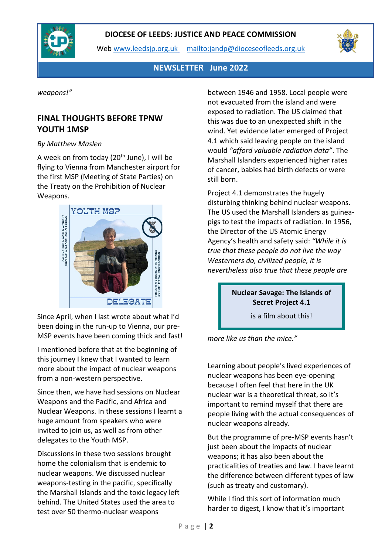

Web [www.leedsjp.org.uk](http://www.leedsjp.org.uk/) <mailto:jandp@dioceseofleeds.org.uk>



# **NEWSLETTER June 2022**

*weapons!"*

# **FINAL THOUGHTS BEFORE TPNW YOUTH 1MSP**

#### *By Matthew Maslen*

A week on from today ( $20<sup>th</sup>$  June), I will be flying to Vienna from Manchester airport for the first MSP (Meeting of State Parties) on the Treaty on the Prohibition of Nuclear Weapons.



Since April, when I last wrote about what I'd been doing in the run-up to Vienna, our pre-MSP events have been coming thick and fast!

I mentioned before that at the beginning of this journey I knew that I wanted to learn more about the impact of nuclear weapons from a non-western perspective.

Since then, we have had sessions on Nuclear Weapons and the Pacific, and Africa and Nuclear Weapons. In these sessions I learnt a huge amount from speakers who were invited to join us, as well as from other delegates to the Youth MSP.

Discussions in these two sessions brought home the colonialism that is endemic to nuclear weapons. We discussed nuclear weapons-testing in the pacific, specifically the Marshall Islands and the toxic legacy left behind. The United States used the area to test over 50 thermo-nuclear weapons

between 1946 and 1958. Local people were not evacuated from the island and were exposed to radiation. The US claimed that this was due to an unexpected shift in the wind. Yet evidence later emerged of Project 4.1 which said leaving people on the island would *"afford valuable radiation data"*. The Marshall Islanders experienced higher rates of cancer, babies had birth defects or were still born.

Project 4.1 demonstrates the hugely disturbing thinking behind nuclear weapons. The US used the Marshall Islanders as guineapigs to test the impacts of radiation. In 1956, the Director of the US Atomic Energy Agency's health and safety said: *"While it is true that these people do not live the way Westerners do, civilized people, it is nevertheless also true that these people are* 

### **Nuclear Savage: The Islands of Secret Project 4.1**

is a film about this!

*more like us than the mice."*

Learning about people's lived experiences of nuclear weapons has been eye-opening because I often feel that here in the UK nuclear war is a theoretical threat, so it's important to remind myself that there are people living with the actual consequences of nuclear weapons already.

But the programme of pre-MSP events hasn't just been about the impacts of nuclear weapons; it has also been about the practicalities of treaties and law. I have learnt the difference between different types of law (such as treaty and customary).

While I find this sort of information much harder to digest, I know that it's important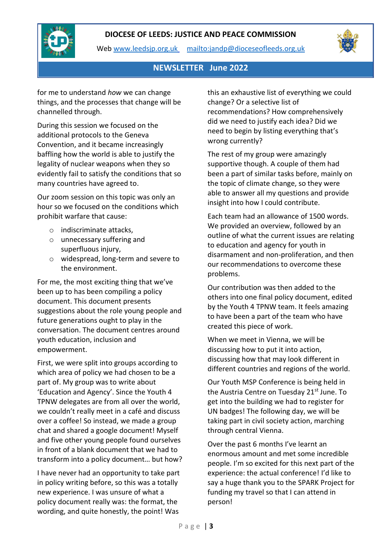



Web [www.leedsjp.org.uk](http://www.leedsjp.org.uk/) <mailto:jandp@dioceseofleeds.org.uk>



# **NEWSLETTER June 2022**

for me to understand *how* we can change things, and the processes that change will be channelled through.

During this session we focused on the additional protocols to the Geneva Convention, and it became increasingly baffling how the world is able to justify the legality of nuclear weapons when they so evidently fail to satisfy the conditions that so many countries have agreed to.

Our zoom session on this topic was only an hour so we focused on the conditions which prohibit warfare that cause:

- o indiscriminate attacks,
- o unnecessary suffering and superfluous injury,
- o widespread, long-term and severe to the environment.

For me, the most exciting thing that we've been up to has been compiling a policy document. This document presents suggestions about the role young people and future generations ought to play in the conversation. The document centres around youth education, inclusion and empowerment.

First, we were split into groups according to which area of policy we had chosen to be a part of. My group was to write about 'Education and Agency'. Since the Youth 4 TPNW delegates are from all over the world, we couldn't really meet in a café and discuss over a coffee! So instead, we made a group chat and shared a google document! Myself and five other young people found ourselves in front of a blank document that we had to transform into a policy document… but how?

I have never had an opportunity to take part in policy writing before, so this was a totally new experience. I was unsure of what a policy document really was: the format, the wording, and quite honestly, the point! Was

this an exhaustive list of everything we could change? Or a selective list of recommendations? How comprehensively did we need to justify each idea? Did we need to begin by listing everything that's wrong currently?

The rest of my group were amazingly supportive though. A couple of them had been a part of similar tasks before, mainly on the topic of climate change, so they were able to answer all my questions and provide insight into how I could contribute.

Each team had an allowance of 1500 words. We provided an overview, followed by an outline of what the current issues are relating to education and agency for youth in disarmament and non-proliferation, and then our recommendations to overcome these problems.

Our contribution was then added to the others into one final policy document, edited by the Youth 4 TPNW team. It feels amazing to have been a part of the team who have created this piece of work.

When we meet in Vienna, we will be discussing how to put it into action, discussing how that may look different in different countries and regions of the world.

Our Youth MSP Conference is being held in the Austria Centre on Tuesday 21<sup>st</sup> June. To get into the building we had to register for UN badges! The following day, we will be taking part in civil society action, marching through central Vienna.

Over the past 6 months I've learnt an enormous amount and met some incredible people. I'm so excited for this next part of the experience: the actual conference! I'd like to say a huge thank you to the SPARK Project for funding my travel so that I can attend in person!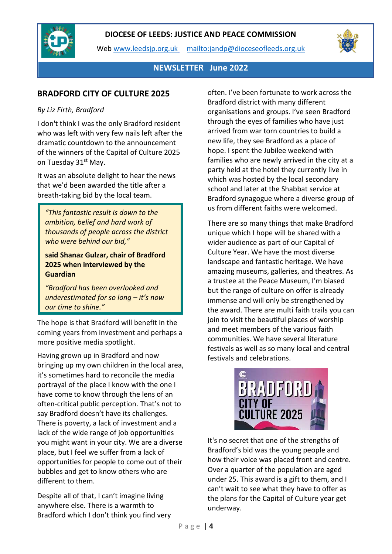

Web [www.leedsjp.org.uk](http://www.leedsjp.org.uk/) <mailto:jandp@dioceseofleeds.org.uk>



### **NEWSLETTER June 2022**

# **BRADFORD CITY OF CULTURE 2025**

### *By Liz Firth, Bradford*

I don't think I was the only Bradford resident who was left with very few nails left after the dramatic countdown to the announcement of the winners of the Capital of Culture 2025 on Tuesday 31<sup>st</sup> May.

It was an absolute delight to hear the news that we'd been awarded the title after a breath-taking bid by the local team.

*"This fantastic result is down to the ambition, belief and hard work of thousands of people across the district who were behind our bid,"*

**said Shanaz Gulzar, chair of Bradford 2025 when interviewed by the Guardian**

*"Bradford has been overlooked and underestimated for so long – it's now our time to shine."*

The hope is that Bradford will benefit in the coming years from investment and perhaps a more positive media spotlight.

Having grown up in Bradford and now bringing up my own children in the local area, it's sometimes hard to reconcile the media portrayal of the place I know with the one I have come to know through the lens of an often-critical public perception. That's not to say Bradford doesn't have its challenges. There is poverty, a lack of investment and a lack of the wide range of job opportunities you might want in your city. We are a diverse place, but I feel we suffer from a lack of opportunities for people to come out of their bubbles and get to know others who are different to them.

Despite all of that, I can't imagine living anywhere else. There is a warmth to Bradford which I don't think you find very often. I've been fortunate to work across the Bradford district with many different organisations and groups. I've seen Bradford through the eyes of families who have just arrived from war torn countries to build a new life, they see Bradford as a place of hope. I spent the Jubilee weekend with families who are newly arrived in the city at a party held at the hotel they currently live in which was hosted by the local secondary school and later at the Shabbat service at Bradford synagogue where a diverse group of us from different faiths were welcomed.

There are so many things that make Bradford unique which I hope will be shared with a wider audience as part of our Capital of Culture Year. We have the most diverse landscape and fantastic heritage. We have amazing museums, galleries, and theatres. As a trustee at the Peace Museum, I'm biased but the range of culture on offer is already immense and will only be strengthened by the award. There are multi faith trails you can join to visit the beautiful places of worship and meet members of the various faith communities. We have several literature festivals as well as so many local and central festivals and celebrations.



It's no secret that one of the strengths of Bradford's bid was the young people and how their voice was placed front and centre. Over a quarter of the population are aged under 25. This award is a gift to them, and I can't wait to see what they have to offer as the plans for the Capital of Culture year get underway.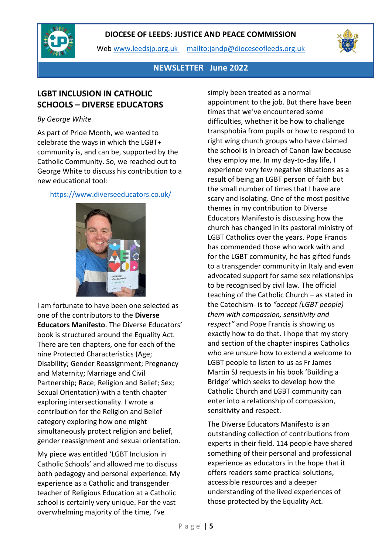

Web [www.leedsjp.org.uk](http://www.leedsjp.org.uk/) <mailto:jandp@dioceseofleeds.org.uk>



### **NEWSLETTER June 2022**

# **LGBT INCLUSION IN CATHOLIC SCHOOLS – DIVERSE EDUCATORS**

#### *By George White*

As part of Pride Month, we wanted to celebrate the ways in which the LGBT+ community is, and can be, supported by the Catholic Community. So, we reached out to George White to discuss his contribution to a new educational tool:

#### <https://www.diverseeducators.co.uk/>



I am fortunate to have been one selected as one of the contributors to the **Diverse Educators Manifesto**. The Diverse Educators' book is structured around the Equality Act. There are ten chapters, one for each of the nine Protected Characteristics (Age; Disability; Gender Reassignment; Pregnancy and Maternity; Marriage and Civil Partnership; Race; Religion and Belief; Sex; Sexual Orientation) with a tenth chapter exploring intersectionality. I wrote a contribution for the Religion and Belief category exploring how one might simultaneously protect religion and belief, gender reassignment and sexual orientation.

My piece was entitled 'LGBT Inclusion in Catholic Schools' and allowed me to discuss both pedagogy and personal experience. My experience as a Catholic and transgender teacher of Religious Education at a Catholic school is certainly very unique. For the vast overwhelming majority of the time, I've

simply been treated as a normal appointment to the job. But there have been times that we've encountered some difficulties, whether it be how to challenge transphobia from pupils or how to respond to right wing church groups who have claimed the school is in breach of Canon law because they employ me. In my day-to-day life, I experience very few negative situations as a result of being an LGBT person of faith but the small number of times that I have are scary and isolating. One of the most positive themes in my contribution to Diverse Educators Manifesto is discussing how the church has changed in its pastoral ministry of LGBT Catholics over the years. Pope Francis has commended those who work with and for the LGBT community, he has gifted funds to a transgender community in Italy and even advocated support for same sex relationships to be recognised by civil law. The official teaching of the Catholic Church – as stated in the Catechism- is to *"accept (LGBT people) them with compassion, sensitivity and respect"* and Pope Francis is showing us exactly how to do that. I hope that my story and section of the chapter inspires Catholics who are unsure how to extend a welcome to LGBT people to listen to us as Fr James Martin SJ requests in his book 'Building a Bridge' which seeks to develop how the Catholic Church and LGBT community can enter into a relationship of compassion, sensitivity and respect.

The Diverse Educators Manifesto is an outstanding collection of contributions from experts in their field. 114 people have shared something of their personal and professional experience as educators in the hope that it offers readers some practical solutions, accessible resources and a deeper understanding of the lived experiences of those protected by the Equality Act.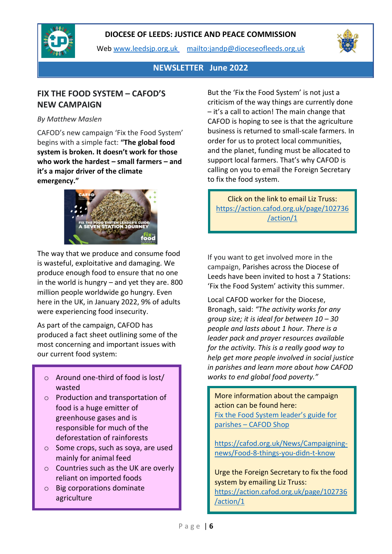

Web [www.leedsjp.org.uk](http://www.leedsjp.org.uk/) <mailto:jandp@dioceseofleeds.org.uk>



### **NEWSLETTER June 2022**

# **FIX THE FOOD SYSTEM – CAFOD'S NEW CAMPAIGN**

### *By Matthew Maslen*

CAFOD's new campaign 'Fix the Food System' begins with a simple fact: **"The global food system is broken. It doesn't work for those who work the hardest – small farmers – and it's a major driver of the climate emergency."** 



The way that we produce and consume food is wasteful, exploitative and damaging. We produce enough food to ensure that no one in the world is hungry – and yet they are. 800 million people worldwide go hungry. Even here in the UK, in January 2022, 9% of adults were experiencing food insecurity.

As part of the campaign, CAFOD has produced a fact sheet outlining some of the most concerning and important issues with our current food system:

- o Around one-third of food is lost/ *works to end global food poverty."* wasted
- o Production and transportation of food is a huge emitter of greenhouse gases and is responsible for much of the deforestation of rainforests
- o Some crops, such as soya, are used mainly for animal feed
- o Countries such as the UK are overly reliant on imported foods
- o Big corporations dominate agriculture

But the 'Fix the Food System' is not just a criticism of the way things are currently done – it's a call to action! The main change that CAFOD is hoping to see is that the agriculture business is returned to small-scale farmers. In order for us to protect local communities, and the planet, funding must be allocated to support local farmers. That's why CAFOD is calling on you to email the Foreign Secretary to fix the food system.

Click on the link to email Liz Truss: [https://action.cafod.org.uk/page/102736](https://action.cafod.org.uk/page/102736/action/1) [/action/1](https://action.cafod.org.uk/page/102736/action/1)

If you want to get involved more in the campaign, Parishes across the Diocese of Leeds have been invited to host a 7 Stations: 'Fix the Food System' activity this summer.

Local CAFOD worker for the Diocese, Bronagh, said: *"The activity works for any group size; it is ideal for between 10 – 30 people and lasts about 1 hour. There is a leader pack and prayer resources available for the activity. This is a really good way to help get more people involved in social justice in parishes and learn more about how CAFOD* 

More information about the campaign action can be found here: [Fix the Food System leader's guide for](https://eu-west-1.protection.sophos.com/?d=cafod.org.uk&u=aHR0cHM6Ly9zaG9wLmNhZm9kLm9yZy51ay9jb2xsZWN0aW9ucy9yZWNsYWltLW91ci1jb21tb24taG9tZS9wcm9kdWN0cy9maXgtdGhlLWZvb2Qtc3lzdGVtLWxlYWRlcnMtZ3VpZGU=&i=NWNmNjM5Zjk2M2EzYmMxNDI0YzEyMTc2&t=N3drVjhITW5hNno1WG92Njd2ek8yYU5GeDJMaDNod1M4Q2k2aWtMY0ZFVT0=&h=78c2ab655e8f4037a278f865a64f285e)  parishes – [CAFOD Shop](https://eu-west-1.protection.sophos.com/?d=cafod.org.uk&u=aHR0cHM6Ly9zaG9wLmNhZm9kLm9yZy51ay9jb2xsZWN0aW9ucy9yZWNsYWltLW91ci1jb21tb24taG9tZS9wcm9kdWN0cy9maXgtdGhlLWZvb2Qtc3lzdGVtLWxlYWRlcnMtZ3VpZGU=&i=NWNmNjM5Zjk2M2EzYmMxNDI0YzEyMTc2&t=N3drVjhITW5hNno1WG92Njd2ek8yYU5GeDJMaDNod1M4Q2k2aWtMY0ZFVT0=&h=78c2ab655e8f4037a278f865a64f285e)

[https://cafod.org.uk/News/Campaigning](https://cafod.org.uk/News/Campaigning-news/Food-8-things-you-didn-t-know)[news/Food-8-things-you-didn-t-know](https://cafod.org.uk/News/Campaigning-news/Food-8-things-you-didn-t-know)

Urge the Foreign Secretary to fix the food system by emailing Liz Truss: [https://action.cafod.org.uk/page/102736](https://action.cafod.org.uk/page/102736/action/1) [/action/1](https://action.cafod.org.uk/page/102736/action/1)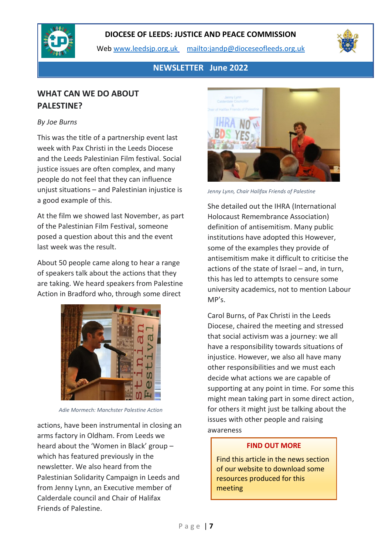

Web [www.leedsjp.org.uk](http://www.leedsjp.org.uk/) <mailto:jandp@dioceseofleeds.org.uk>



# **NEWSLETTER June 2022**

# **WHAT CAN WE DO ABOUT PALESTINE?**

#### *By Joe Burns*

This was the title of a partnership event last week with Pax Christi in the Leeds Diocese and the Leeds Palestinian Film festival. Social justice issues are often complex, and many people do not feel that they can influence unjust situations – and Palestinian injustice is a good example of this.

At the film we showed last November, as part of the Palestinian Film Festival, someone posed a question about this and the event last week was the result.

About 50 people came along to hear a range of speakers talk about the actions that they are taking. We heard speakers from Palestine Action in Bradford who, through some direct



*Adie Mormech: Manchster Palestine Action*

actions, have been instrumental in closing an arms factory in Oldham. From Leeds we heard about the 'Women in Black' group – which has featured previously in the newsletter. We also heard from the Palestinian Solidarity Campaign in Leeds and from Jenny Lynn, an Executive member of Calderdale council and Chair of Halifax Friends of Palestine.



*Jenny Lynn, Chair Halifax Friends of Palestine*

She detailed out the IHRA (International Holocaust Remembrance Association) definition of antisemitism. Many public institutions have adopted this However, some of the examples they provide of antisemitism make it difficult to criticise the actions of the state of Israel – and, in turn, this has led to attempts to censure some university academics, not to mention Labour  $MP's$ .

Carol Burns, of Pax Christi in the Leeds Diocese, chaired the meeting and stressed that social activism was a journey: we all have a responsibility towards situations of injustice. However, we also all have many other responsibilities and we must each decide what actions we are capable of supporting at any point in time. For some this might mean taking part in some direct action, for others it might just be talking about the issues with other people and raising awareness

#### **FIND OUT MORE**

Find this article in the news section of our website to download some resources produced for this meeting